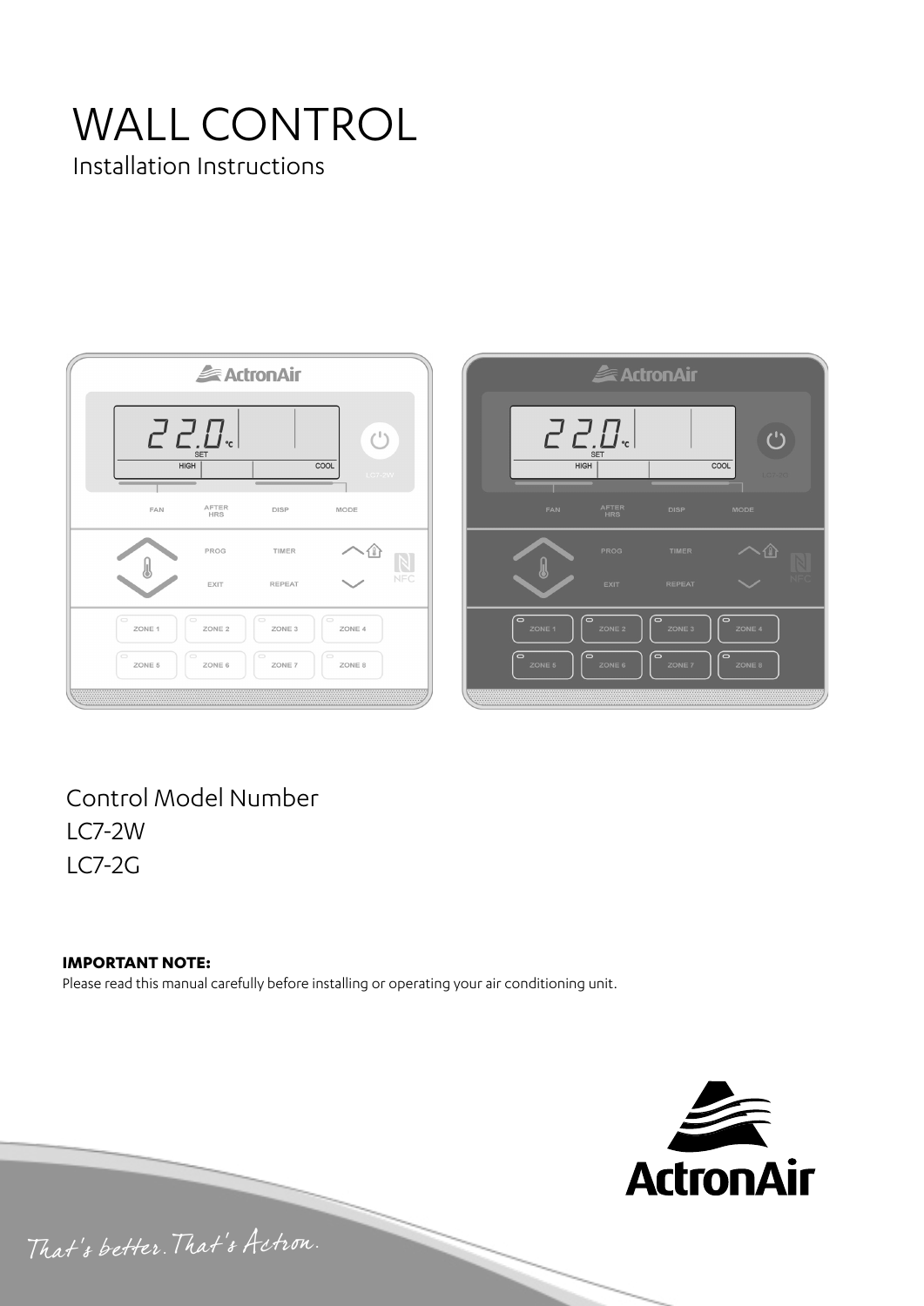# WALL CONTROL Installation Instructions

| <b>ExectronAir</b> |            |                                  |                                 |                                         |  |  |
|--------------------|------------|----------------------------------|---------------------------------|-----------------------------------------|--|--|
|                    |            | ココル<br><b>SET</b><br><b>HIGH</b> | $\leftarrow$                    | $\binom{1}{2}$<br>COOL<br><b>LC7-2W</b> |  |  |
|                    | <b>FAN</b> | AFTER<br><b>HRS</b>              | <b>DISP</b>                     | MODE                                    |  |  |
|                    |            | PROG                             | TIMER                           |                                         |  |  |
|                    |            | EXIT                             | <b>REPEAT</b>                   | NFC                                     |  |  |
| $\circ$            | ZONE 1     | $\bigcirc$<br>ZONE <sub>2</sub>  | $\bigcirc$<br>ZONE <sub>3</sub> | $\bigcirc$<br>ZONE 4                    |  |  |
| $\circ$            | ZONE 5     | $\bigcirc$<br>ZONE 6             | $\bigcirc$<br>ZONE 7            | $\circ$<br>ZONE 8                       |  |  |
|                    |            |                                  |                                 |                                         |  |  |



# Control Model Number LC7-2W LC7-2G

### **IMPORTANT NOTE:**

Please read this manual carefully before installing or operating your air conditioning unit.



# That's better. That's Actron.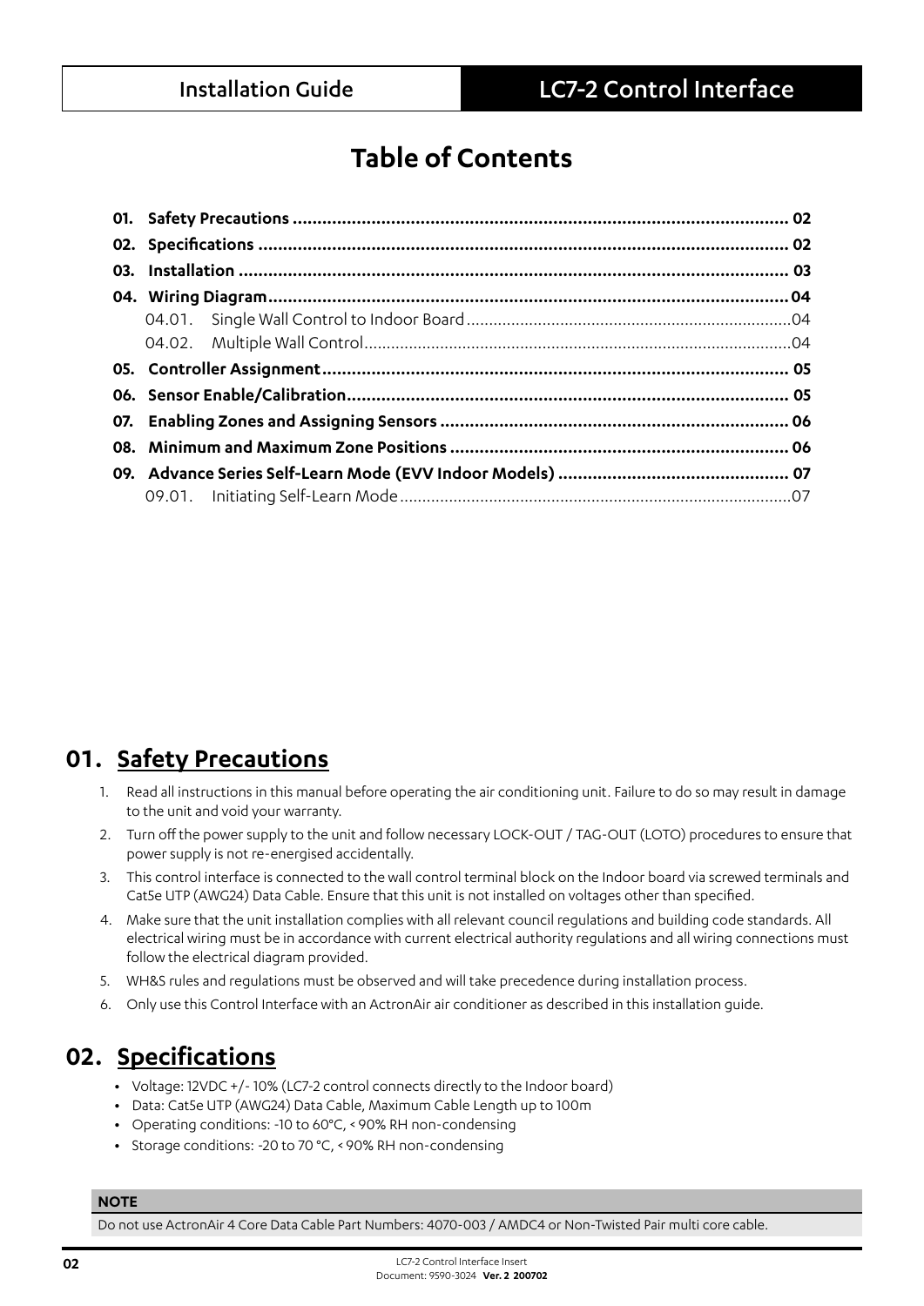# **Table of Contents**

## **01. Safety Precautions**

- 1. Read all instructions in this manual before operating the air conditioning unit. Failure to do so may result in damage to the unit and void your warranty.
- 2. Turn off the power supply to the unit and follow necessary LOCK-OUT / TAG-OUT (LOTO) procedures to ensure that power supply is not re-energised accidentally.
- 3. This control interface is connected to the wall control terminal block on the Indoor board via screwed terminals and Cat5e UTP (AWG24) Data Cable. Ensure that this unit is not installed on voltages other than specified.
- 4. Make sure that the unit installation complies with all relevant council regulations and building code standards. All electrical wiring must be in accordance with current electrical authority regulations and all wiring connections must follow the electrical diagram provided.
- 5. WH&S rules and regulations must be observed and will take precedence during installation process.
- 6. Only use this Control Interface with an ActronAir air conditioner as described in this installation guide.

# **02. Specifications**

- **•** Voltage: 12VDC +/- 10% (LC7-2 control connects directly to the Indoor board)
- **•** Data: Cat5e UTP (AWG24) Data Cable, Maximum Cable Length up to 100m
- **•** Operating conditions: -10 to 60°C, < 90% RH non-condensing
- **•** Storage conditions: -20 to 70 °C, < 90% RH non-condensing

#### **NOTE**

Do not use ActronAir 4 Core Data Cable Part Numbers: 4070-003 / AMDC4 or Non-Twisted Pair multi core cable.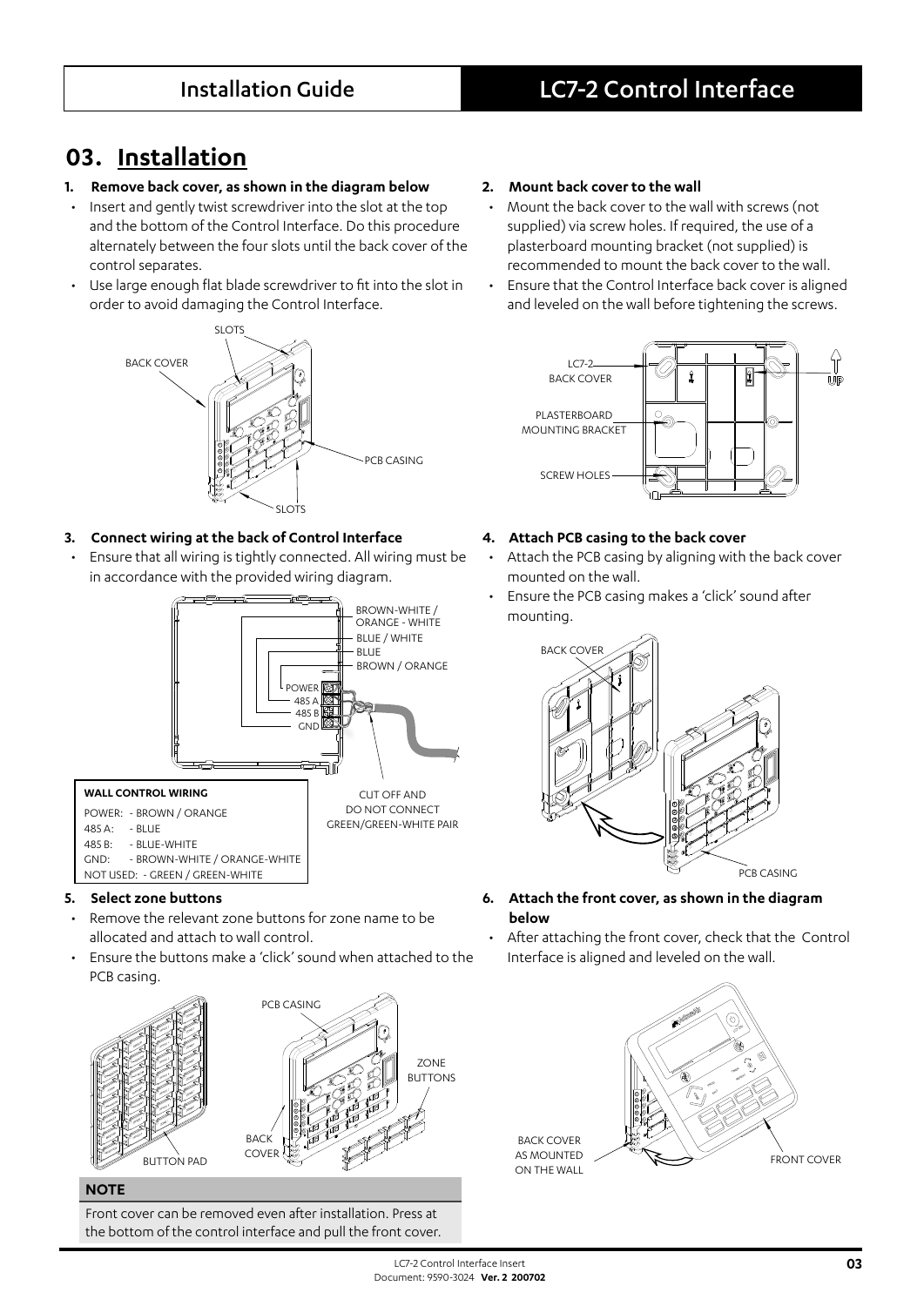# **03. Installation**

### **1. Remove back cover, as shown in the diagram below**

- Insert and gently twist screwdriver into the slot at the top and the bottom of the Control Interface. Do this procedure alternately between the four slots until the back cover of the control separates.
- Use large enough flat blade screwdriver to fit into the slot in order to avoid damaging the Control Interface.



- **3. Connect wiring at the back of Control Interface**
- Ensure that all wiring is tightly connected. All wiring must be in accordance with the provided wiring diagram.



### **5. Select zone buttons**

- Remove the relevant zone buttons for zone name to be allocated and attach to wall control.
- Ensure the buttons make a 'click' sound when attached to the PCB casing.



#### **NOTE**

Front cover can be removed even after installation. Press at the bottom of the control interface and pull the front cover.

### **2. Mount back cover to the wall**

- Mount the back cover to the wall with screws (not supplied) via screw holes. If required, the use of a plasterboard mounting bracket (not supplied) is recommended to mount the back cover to the wall.
- Ensure that the Control Interface back cover is aligned and leveled on the wall before tightening the screws.



### **4. Attach PCB casing to the back cover**

- Attach the PCB casing by aligning with the back cover mounted on the wall.
- Ensure the PCB casing makes a 'click' sound after mounting.



### **6. Attach the front cover, as shown in the diagram below**

After attaching the front cover, check that the Control Interface is aligned and leveled on the wall.



BACK COVER AS MOUNTED ON THE WALL

ZONE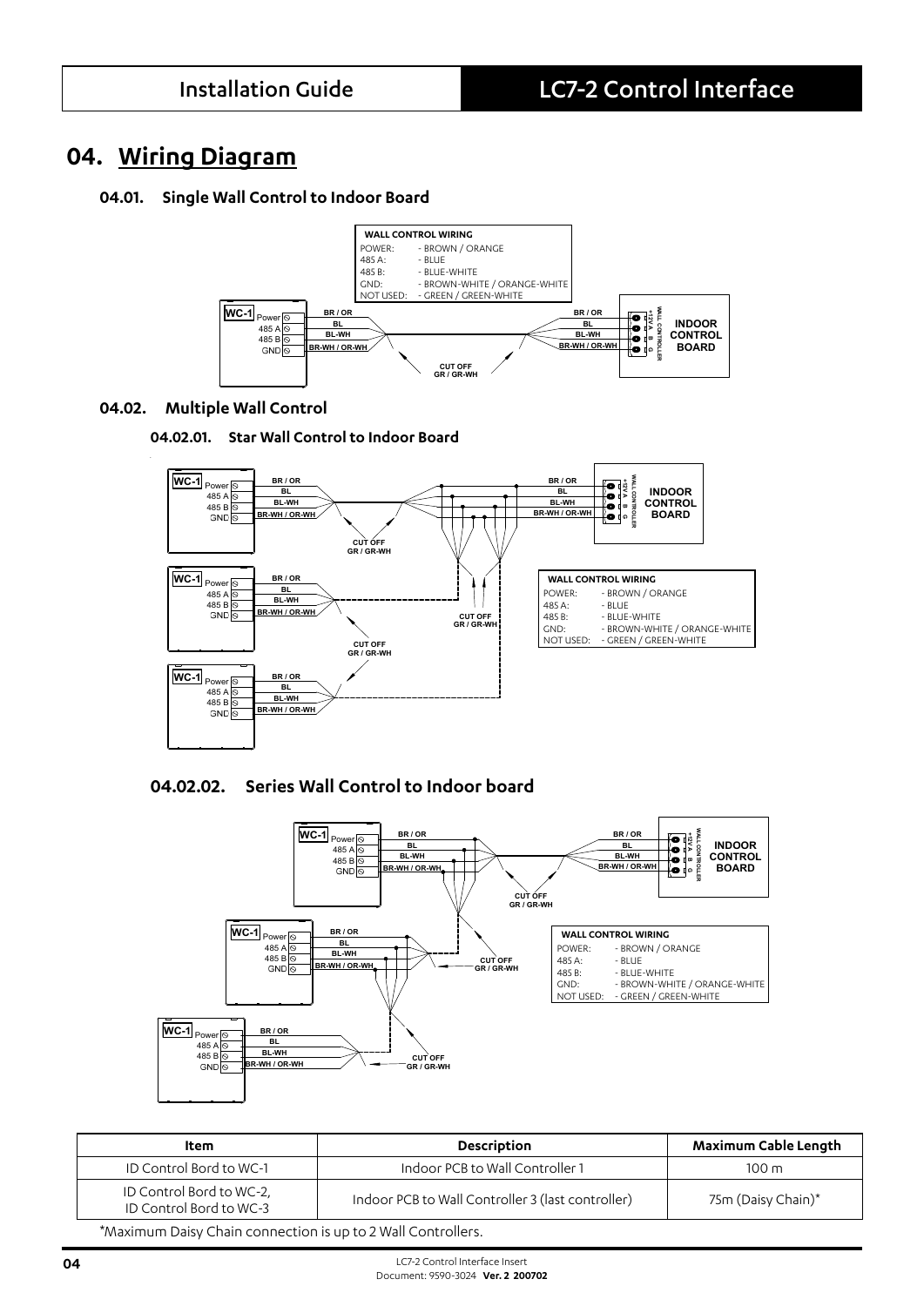# **04. Wiring Diagram**

### **04.01. Single Wall Control to Indoor Board**



### **04.02. Multiple Wall Control**









| Item                                                         | <b>Description</b>                                | <b>Maximum Cable Length</b> |  |  |  |
|--------------------------------------------------------------|---------------------------------------------------|-----------------------------|--|--|--|
| <b>ID Control Bord to WC-1</b>                               | Indoor PCB to Wall Controller 1                   | $100 \text{ m}$             |  |  |  |
| ID Control Bord to WC-2,<br>ID Control Bord to WC-3          | Indoor PCB to Wall Controller 3 (last controller) | 75m (Daisy Chain)*          |  |  |  |
| *Maximum Daisy Chain connection is up to 2 Wall Controllers. |                                                   |                             |  |  |  |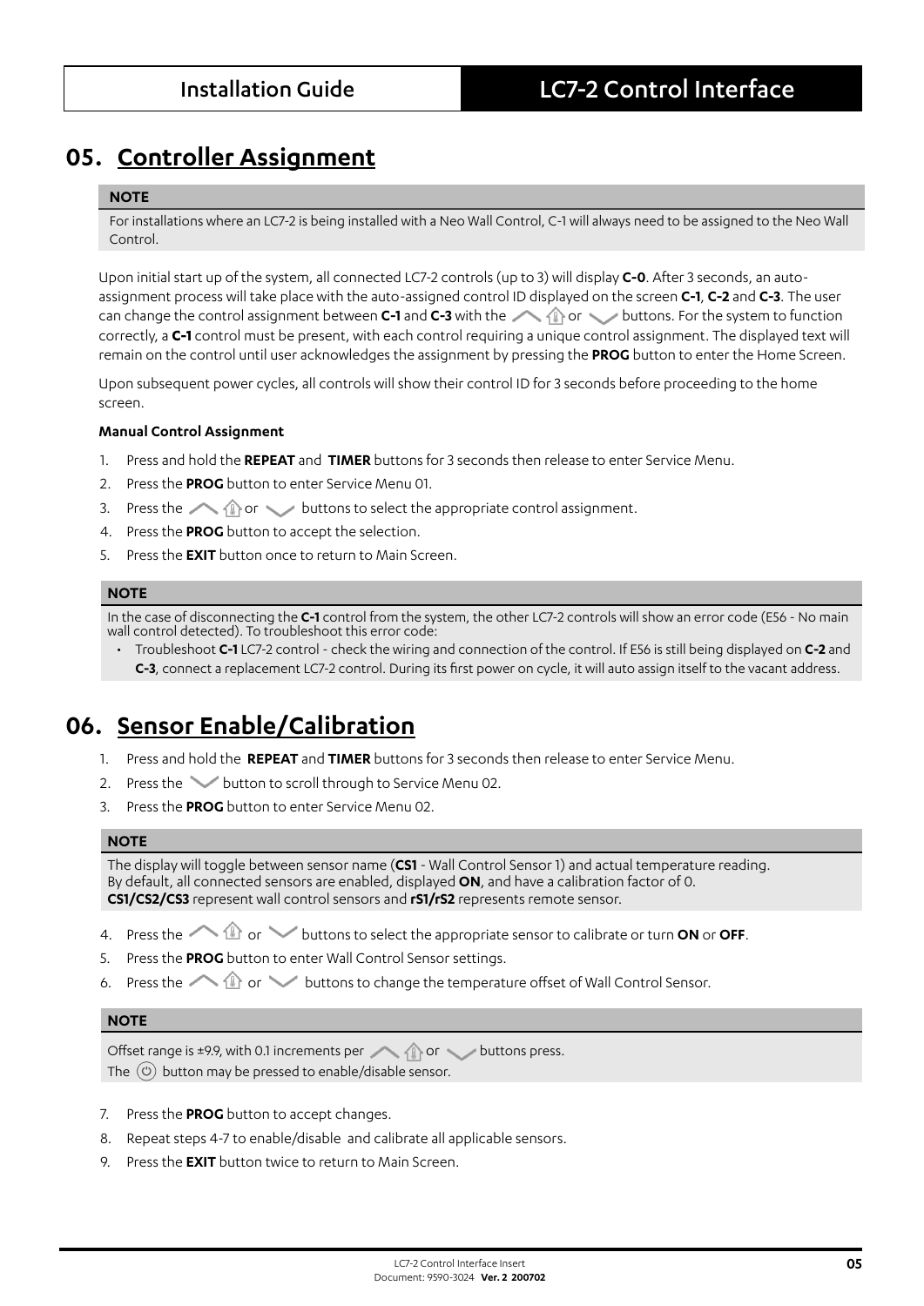# **05. Controller Assignment**

#### **NOTE**

For installations where an LC7-2 is being installed with a Neo Wall Control, C-1 will always need to be assigned to the Neo Wall Control.

Upon initial start up of the system, all connected LC7-2 controls (up to 3) will display **C-0**. After 3 seconds, an autoassignment process will take place with the auto-assigned control ID displayed on the screen **C-1**, **C-2** and **C-3**. The user can change the control assignment between **C-1** and **C-3** with the  $\triangle$  and  $\cap$  buttons. For the system to function correctly, a **C-1** control must be present, with each control requiring a unique control assignment. The displayed text will remain on the control until user acknowledges the assignment by pressing the **PROG** button to enter the Home Screen.

Upon subsequent power cycles, all controls will show their control ID for 3 seconds before proceeding to the home screen.

#### **Manual Control Assignment**

- 1. Press and hold the **REPEAT** and **TIMER** buttons for 3 seconds then release to enter Service Menu.
- 2. Press the **PROG** button to enter Service Menu 01.
- 3. Press the  $\triangle$  or buttons to select the appropriate control assignment.
- 4. Press the **PROG** button to accept the selection.
- 5. Press the **EXIT** button once to return to Main Screen.

#### **NOTE**

In the case of disconnecting the **C-1** control from the system, the other LC7-2 controls will show an error code (E56 - No main wall control detected). To troubleshoot this error code:

• Troubleshoot **C-1** LC7-2 control - check the wiring and connection of the control. If E56 is still being displayed on **C-2** and **C-3**, connect a replacement LC7-2 control. During its first power on cycle, it will auto assign itself to the vacant address.

## **06. Sensor Enable/Calibration**

- 1. Press and hold the **REPEAT** and **TIMER** buttons for 3 seconds then release to enter Service Menu.
- 2. Press the **button to scroll through to Service Menu 02.**
- 3. Press the **PROG** button to enter Service Menu 02.

#### **NOTE**

The display will toggle between sensor name (**CS1** - Wall Control Sensor 1) and actual temperature reading. By default, all connected sensors are enabled, displayed **ON**, and have a calibration factor of 0. **CS1/CS2/CS3** represent wall control sensors and **rS1/rS2** represents remote sensor.

- 4. Press the  $\triangle$  **Or**  $\triangle$  buttons to select the appropriate sensor to calibrate or turn **ON** or **OFF**.
- 5. Press the **PROG** button to enter Wall Control Sensor settings.
- 6. Press the  $\triangle$   $\mathbb{O}$  or  $\blacktriangleright$  buttons to change the temperature offset of Wall Control Sensor.

### **NOTE**

Offset range is ±9.9, with 0.1 increments per  $\triangle$  1 or buttons press. The  $\circledcirc$  button may be pressed to enable/disable sensor.

- 7. Press the **PROG** button to accept changes.
- 8. Repeat steps 4-7 to enable/disable and calibrate all applicable sensors.
- 9. Press the **EXIT** button twice to return to Main Screen.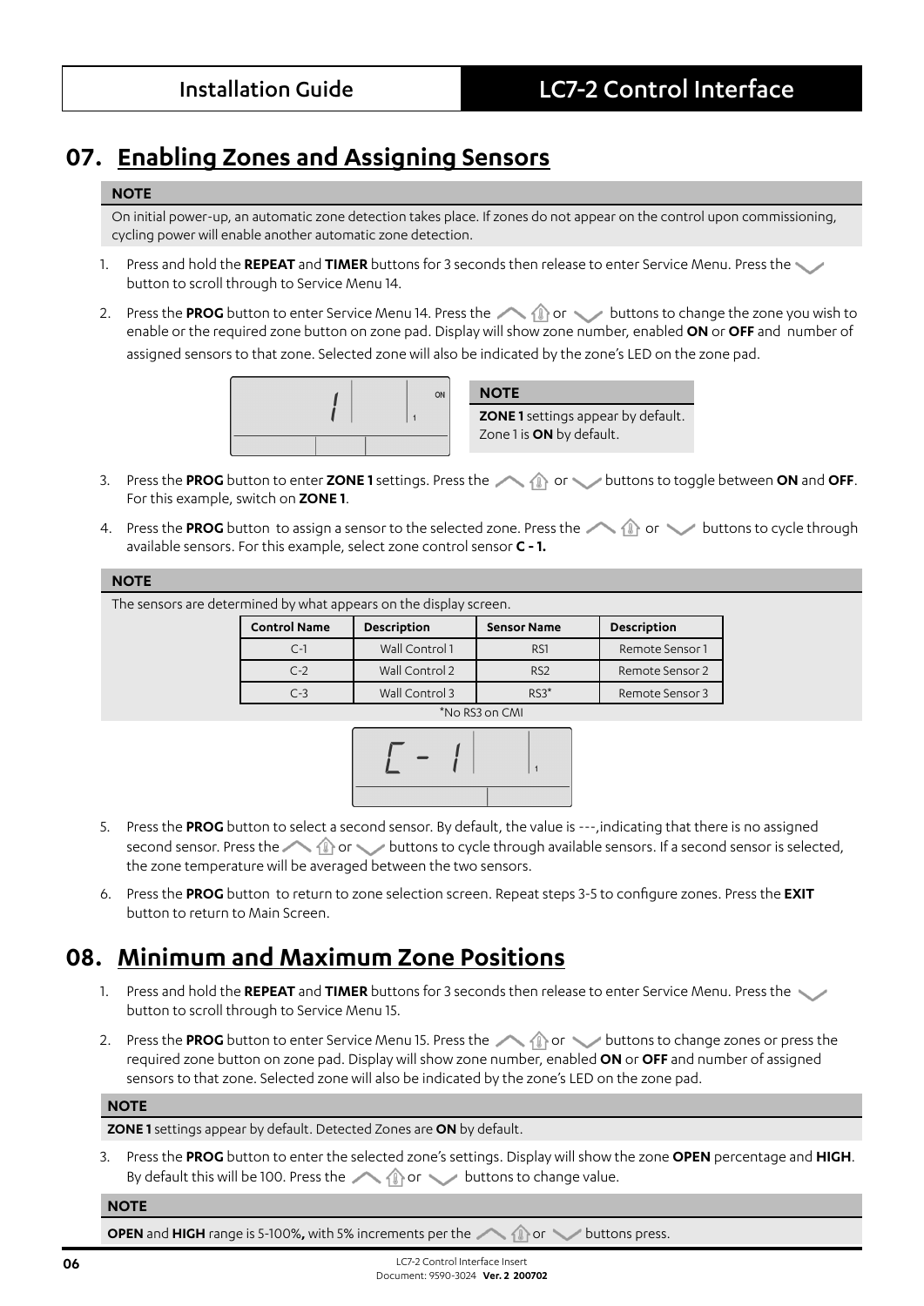# **07. Enabling Zones and Assigning Sensors**

#### **NOTE**

On initial power-up, an automatic zone detection takes place. If zones do not appear on the control upon commissioning, cycling power will enable another automatic zone detection.

- 1. Press and hold the **REPEAT** and **TIMER** buttons for 3 seconds then release to enter Service Menu. Press the button to scroll through to Service Menu 14.
- 2. Press the PROG button to enter Service Menu 14. Press the **August 2.** buttons to change the zone you wish to enable or the required zone button on zone pad. Display will show zone number, enabled **ON** or **OFF** and number of assigned sensors to that zone. Selected zone will also be indicated by the zone's LED on the zone pad.



**NOTE ZONE 1** settings appear by default. Zone 1 is **ON** by default.

- 3. Press the PROG button to enter ZONE 1 settings. Press the  $\triangle$  or buttons to toggle between ON and OFF. For this example, switch on **ZONE 1**.
- 4. Press the PROG button to assign a sensor to the selected zone. Press the **August 2014** or buttons to cycle through available sensors. For this example, select zone control sensor **C - 1.**

#### **NOTE**

The sensors are determined by what appears on the display screen.

| <b>Control Name</b> | Description    | <b>Sensor Name</b> | <b>Description</b> |  |  |  |
|---------------------|----------------|--------------------|--------------------|--|--|--|
| $C-1$               | Wall Control 1 | R <sub>S</sub> 1   | Remote Sensor 1    |  |  |  |
| $C-2$               | Wall Control 2 | R <sub>S2</sub>    | Remote Sensor 2    |  |  |  |
| $C-3$               | Wall Control 3 | $RS3*$             | Remote Sensor 3    |  |  |  |
| *No RS3 on CMI      |                |                    |                    |  |  |  |



- 5. Press the **PROG** button to select a second sensor. By default, the value is ---,indicating that there is no assigned second sensor. Press the  $\triangle$  or buttons to cycle through available sensors. If a second sensor is selected, the zone temperature will be averaged between the two sensors.
- 6. Press the **PROG** button to return to zone selection screen. Repeat steps 3-5 to configure zones. Press the **EXIT** button to return to Main Screen.

## **08. Minimum and Maximum Zone Positions**

- 1. Press and hold the **REPEAT** and **TIMER** buttons for 3 seconds then release to enter Service Menu. Press the button to scroll through to Service Menu 15.
- 2. Press the **PROG** button to enter Service Menu 15. Press the **A O** or **South buttons to change zones or press the** required zone button on zone pad. Display will show zone number, enabled **ON** or **OFF** and number of assigned sensors to that zone. Selected zone will also be indicated by the zone's LED on the zone pad.

#### **NOTE**

**ZONE 1** settings appear by default. Detected Zones are **ON** by default.

3. Press the **PROG** button to enter the selected zone's settings. Display will show the zone **OPEN** percentage and **HIGH**. By default this will be 100. Press the  $\triangle$  or buttons to change value.

#### **NOTE**

**OPEN** and **HIGH** range is 5-100%, with 5% increments per the **or all parts of buttons press.**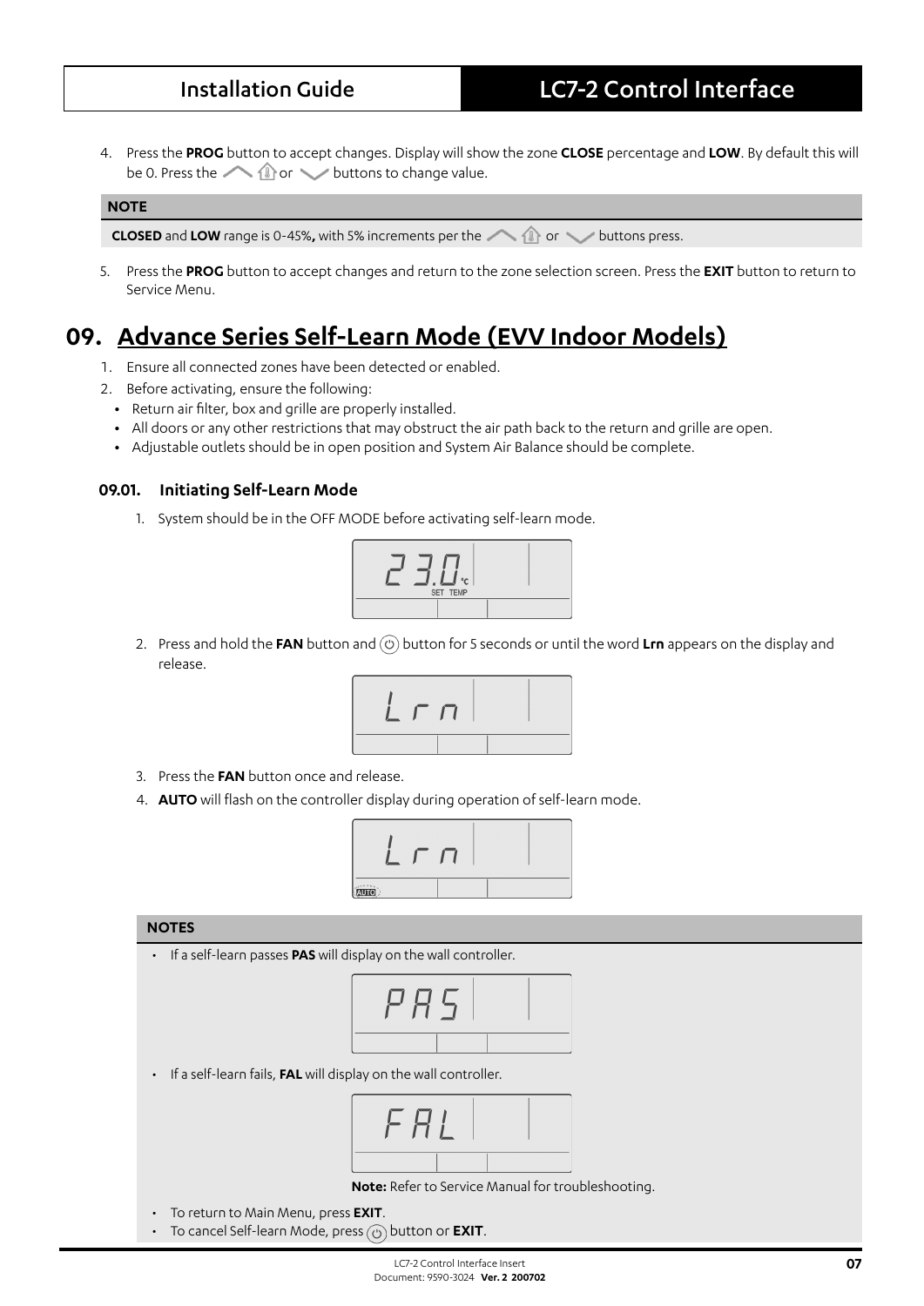4. Press the **PROG** button to accept changes. Display will show the zone **CLOSE** percentage and **LOW**. By default this will be 0. Press the  $\triangle$  1 or  $\triangle$  buttons to change value.

#### **NOTE**

**CLOSED** and LOW range is 0-45%, with 5% increments per the  $\triangle$  or buttons press.

5. Press the **PROG** button to accept changes and return to the zone selection screen. Press the **EXIT** button to return to Service Menu.

# **09. Advance Series Self-Learn Mode (EVV Indoor Models)**

- 1. Ensure all connected zones have been detected or enabled.
- 2. Before activating, ensure the following:
	- **•** Return air filter, box and grille are properly installed.
	- **•** All doors or any other restrictions that may obstruct the air path back to the return and grille are open.
	- **•** Adjustable outlets should be in open position and System Air Balance should be complete.

### **09.01. Initiating Self-Learn Mode**

1. System should be in the OFF MODE before activating self-learn mode.



2. Press and hold the **FAN** button and  $\circledcirc$  button for 5 seconds or until the word Lrn appears on the display and release.



- 3. Press the **FAN** button once and release.
- 4. **AUTO** will flash on the controller display during operation of self-learn mode.



#### **NOTES**

• If a self-learn passes **PAS** will display on the wall controller.



• If a self-learn fails, **FAL** will display on the wall controller.



**Note:** Refer to Service Manual for troubleshooting.

- To return to Main Menu, press **EXIT**.
- To cancel Self-learn Mode, press  $\circledcirc$  button or **EXIT**.